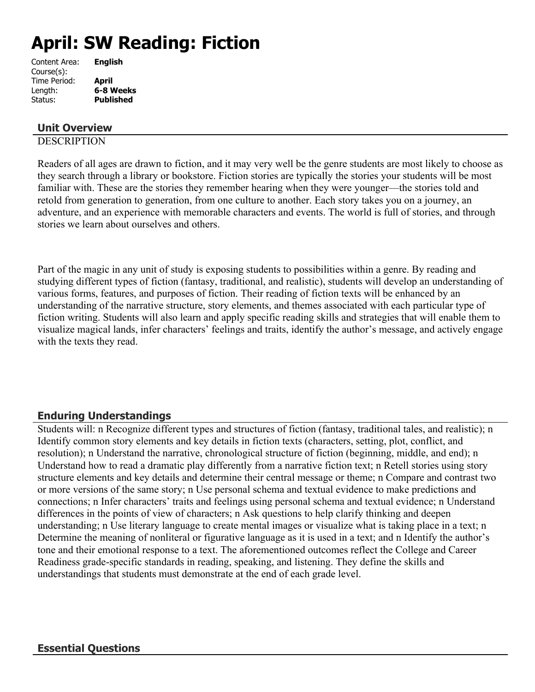# **April: SW Reading: Fiction**

| <b>English</b>   |
|------------------|
|                  |
| April            |
| 6-8 Weeks        |
| <b>Published</b> |
|                  |

## **Unit Overview**

## **DESCRIPTION**

Readers of all ages are drawn to fiction, and it may very well be the genre students are most likely to choose as they search through a library or bookstore. Fiction stories are typically the stories your students will be most familiar with. These are the stories they remember hearing when they were younger—the stories told and retold from generation to generation, from one culture to another. Each story takes you on a journey, an adventure, and an experience with memorable characters and events. The world is full of stories, and through stories we learn about ourselves and others.

Part of the magic in any unit of study is exposing students to possibilities within a genre. By reading and studying different types of fiction (fantasy, traditional, and realistic), students will develop an understanding of various forms, features, and purposes of fiction. Their reading of fiction texts will be enhanced by an understanding of the narrative structure, story elements, and themes associated with each particular type of fiction writing. Students will also learn and apply specific reading skills and strategies that will enable them to visualize magical lands, infer characters' feelings and traits, identify the author's message, and actively engage with the texts they read.

# **Enduring Understandings**

Students will: n Recognize different types and structures of fiction (fantasy, traditional tales, and realistic); n Identify common story elements and key details in fiction texts (characters, setting, plot, conflict, and resolution); n Understand the narrative, chronological structure of fiction (beginning, middle, and end); n Understand how to read a dramatic play differently from a narrative fiction text; n Retell stories using story structure elements and key details and determine their central message or theme; n Compare and contrast two or more versions of the same story; n Use personal schema and textual evidence to make predictions and connections; n Infer characters' traits and feelings using personal schema and textual evidence; n Understand differences in the points of view of characters; n Ask questions to help clarify thinking and deepen understanding; n Use literary language to create mental images or visualize what is taking place in a text; n Determine the meaning of nonliteral or figurative language as it is used in a text; and n Identify the author's tone and their emotional response to a text. The aforementioned outcomes reflect the College and Career Readiness grade-specific standards in reading, speaking, and listening. They define the skills and understandings that students must demonstrate at the end of each grade level.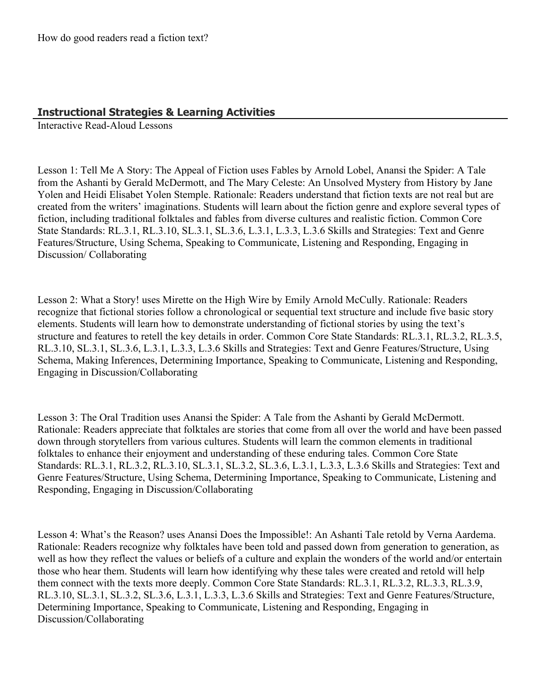## **Instructional Strategies & Learning Activities**

Interactive Read-Aloud Lessons

Lesson 1: Tell Me A Story: The Appeal of Fiction uses Fables by Arnold Lobel, Anansi the Spider: A Tale from the Ashanti by Gerald McDermott, and The Mary Celeste: An Unsolved Mystery from History by Jane Yolen and Heidi Elisabet Yolen Stemple. Rationale: Readers understand that fiction texts are not real but are created from the writers' imaginations. Students will learn about the fiction genre and explore several types of fiction, including traditional folktales and fables from diverse cultures and realistic fiction. Common Core State Standards: RL.3.1, RL.3.10, SL.3.1, SL.3.6, L.3.1, L.3.3, L.3.6 Skills and Strategies: Text and Genre Features/Structure, Using Schema, Speaking to Communicate, Listening and Responding, Engaging in Discussion/ Collaborating

Lesson 2: What a Story! uses Mirette on the High Wire by Emily Arnold McCully. Rationale: Readers recognize that fictional stories follow a chronological or sequential text structure and include five basic story elements. Students will learn how to demonstrate understanding of fictional stories by using the text's structure and features to retell the key details in order. Common Core State Standards: RL.3.1, RL.3.2, RL.3.5, RL.3.10, SL.3.1, SL.3.6, L.3.1, L.3.3, L.3.6 Skills and Strategies: Text and Genre Features/Structure, Using Schema, Making Inferences, Determining Importance, Speaking to Communicate, Listening and Responding, Engaging in Discussion/Collaborating

Lesson 3: The Oral Tradition uses Anansi the Spider: A Tale from the Ashanti by Gerald McDermott. Rationale: Readers appreciate that folktales are stories that come from all over the world and have been passed down through storytellers from various cultures. Students will learn the common elements in traditional folktales to enhance their enjoyment and understanding of these enduring tales. Common Core State Standards: RL.3.1, RL.3.2, RL.3.10, SL.3.1, SL.3.2, SL.3.6, L.3.1, L.3.3, L.3.6 Skills and Strategies: Text and Genre Features/Structure, Using Schema, Determining Importance, Speaking to Communicate, Listening and Responding, Engaging in Discussion/Collaborating

Lesson 4: What's the Reason? uses Anansi Does the Impossible!: An Ashanti Tale retold by Verna Aardema. Rationale: Readers recognize why folktales have been told and passed down from generation to generation, as well as how they reflect the values or beliefs of a culture and explain the wonders of the world and/or entertain those who hear them. Students will learn how identifying why these tales were created and retold will help them connect with the texts more deeply. Common Core State Standards: RL.3.1, RL.3.2, RL.3.3, RL.3.9, RL.3.10, SL.3.1, SL.3.2, SL.3.6, L.3.1, L.3.3, L.3.6 Skills and Strategies: Text and Genre Features/Structure, Determining Importance, Speaking to Communicate, Listening and Responding, Engaging in Discussion/Collaborating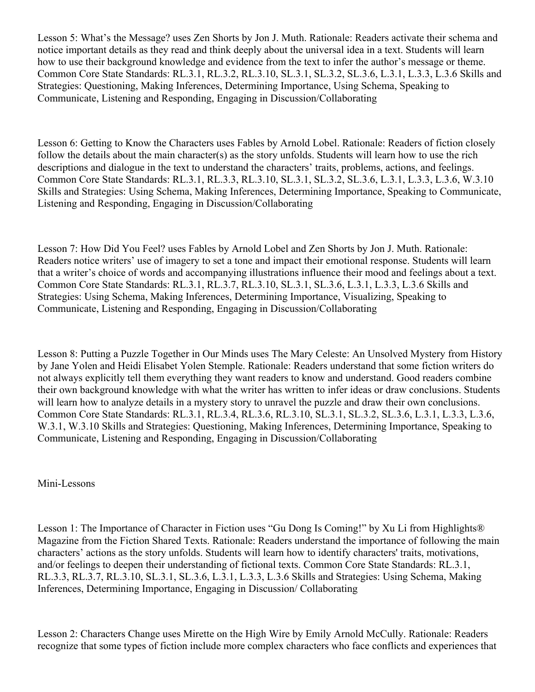Lesson 5: What's the Message? uses Zen Shorts by Jon J. Muth. Rationale: Readers activate their schema and notice important details as they read and think deeply about the universal idea in a text. Students will learn how to use their background knowledge and evidence from the text to infer the author's message or theme. Common Core State Standards: RL.3.1, RL.3.2, RL.3.10, SL.3.1, SL.3.2, SL.3.6, L.3.1, L.3.3, L.3.6 Skills and Strategies: Questioning, Making Inferences, Determining Importance, Using Schema, Speaking to Communicate, Listening and Responding, Engaging in Discussion/Collaborating

Lesson 6: Getting to Know the Characters uses Fables by Arnold Lobel. Rationale: Readers of fiction closely follow the details about the main character(s) as the story unfolds. Students will learn how to use the rich descriptions and dialogue in the text to understand the characters' traits, problems, actions, and feelings. Common Core State Standards: RL.3.1, RL.3.3, RL.3.10, SL.3.1, SL.3.2, SL.3.6, L.3.1, L.3.3, L.3.6, W.3.10 Skills and Strategies: Using Schema, Making Inferences, Determining Importance, Speaking to Communicate, Listening and Responding, Engaging in Discussion/Collaborating

Lesson 7: How Did You Feel? uses Fables by Arnold Lobel and Zen Shorts by Jon J. Muth. Rationale: Readers notice writers' use of imagery to set a tone and impact their emotional response. Students will learn that a writer's choice of words and accompanying illustrations influence their mood and feelings about a text. Common Core State Standards: RL.3.1, RL.3.7, RL.3.10, SL.3.1, SL.3.6, L.3.1, L.3.3, L.3.6 Skills and Strategies: Using Schema, Making Inferences, Determining Importance, Visualizing, Speaking to Communicate, Listening and Responding, Engaging in Discussion/Collaborating

Lesson 8: Putting a Puzzle Together in Our Minds uses The Mary Celeste: An Unsolved Mystery from History by Jane Yolen and Heidi Elisabet Yolen Stemple. Rationale: Readers understand that some fiction writers do not always explicitly tell them everything they want readers to know and understand. Good readers combine their own background knowledge with what the writer has written to infer ideas or draw conclusions. Students will learn how to analyze details in a mystery story to unravel the puzzle and draw their own conclusions. Common Core State Standards: RL.3.1, RL.3.4, RL.3.6, RL.3.10, SL.3.1, SL.3.2, SL.3.6, L.3.1, L.3.3, L.3.6, W.3.1, W.3.10 Skills and Strategies: Questioning, Making Inferences, Determining Importance, Speaking to Communicate, Listening and Responding, Engaging in Discussion/Collaborating

### Mini-Lessons

Lesson 1: The Importance of Character in Fiction uses "Gu Dong Is Coming!" by Xu Li from Highlights® Magazine from the Fiction Shared Texts. Rationale: Readers understand the importance of following the main characters' actions as the story unfolds. Students will learn how to identify characters' traits, motivations, and/or feelings to deepen their understanding of fictional texts. Common Core State Standards: RL.3.1, RL.3.3, RL.3.7, RL.3.10, SL.3.1, SL.3.6, L.3.1, L.3.3, L.3.6 Skills and Strategies: Using Schema, Making Inferences, Determining Importance, Engaging in Discussion/ Collaborating

Lesson 2: Characters Change uses Mirette on the High Wire by Emily Arnold McCully. Rationale: Readers recognize that some types of fiction include more complex characters who face conflicts and experiences that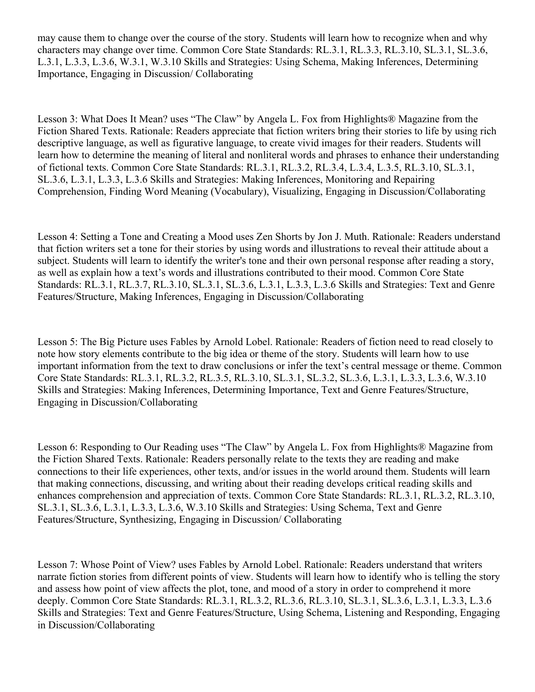may cause them to change over the course of the story. Students will learn how to recognize when and why characters may change over time. Common Core State Standards: RL.3.1, RL.3.3, RL.3.10, SL.3.1, SL.3.6, L.3.1, L.3.3, L.3.6, W.3.1, W.3.10 Skills and Strategies: Using Schema, Making Inferences, Determining Importance, Engaging in Discussion/ Collaborating

Lesson 3: What Does It Mean? uses "The Claw" by Angela L. Fox from Highlights® Magazine from the Fiction Shared Texts. Rationale: Readers appreciate that fiction writers bring their stories to life by using rich descriptive language, as well as figurative language, to create vivid images for their readers. Students will learn how to determine the meaning of literal and nonliteral words and phrases to enhance their understanding of fictional texts. Common Core State Standards: RL.3.1, RL.3.2, RL.3.4, L.3.4, L.3.5, RL.3.10, SL.3.1, SL.3.6, L.3.1, L.3.3, L.3.6 Skills and Strategies: Making Inferences, Monitoring and Repairing Comprehension, Finding Word Meaning (Vocabulary), Visualizing, Engaging in Discussion/Collaborating

Lesson 4: Setting a Tone and Creating a Mood uses Zen Shorts by Jon J. Muth. Rationale: Readers understand that fiction writers set a tone for their stories by using words and illustrations to reveal their attitude about a subject. Students will learn to identify the writer's tone and their own personal response after reading a story, as well as explain how a text's words and illustrations contributed to their mood. Common Core State Standards: RL.3.1, RL.3.7, RL.3.10, SL.3.1, SL.3.6, L.3.1, L.3.3, L.3.6 Skills and Strategies: Text and Genre Features/Structure, Making Inferences, Engaging in Discussion/Collaborating

Lesson 5: The Big Picture uses Fables by Arnold Lobel. Rationale: Readers of fiction need to read closely to note how story elements contribute to the big idea or theme of the story. Students will learn how to use important information from the text to draw conclusions or infer the text's central message or theme. Common Core State Standards: RL.3.1, RL.3.2, RL.3.5, RL.3.10, SL.3.1, SL.3.2, SL.3.6, L.3.1, L.3.3, L.3.6, W.3.10 Skills and Strategies: Making Inferences, Determining Importance, Text and Genre Features/Structure, Engaging in Discussion/Collaborating

Lesson 6: Responding to Our Reading uses "The Claw" by Angela L. Fox from Highlights® Magazine from the Fiction Shared Texts. Rationale: Readers personally relate to the texts they are reading and make connections to their life experiences, other texts, and/or issues in the world around them. Students will learn that making connections, discussing, and writing about their reading develops critical reading skills and enhances comprehension and appreciation of texts. Common Core State Standards: RL.3.1, RL.3.2, RL.3.10, SL.3.1, SL.3.6, L.3.1, L.3.3, L.3.6, W.3.10 Skills and Strategies: Using Schema, Text and Genre Features/Structure, Synthesizing, Engaging in Discussion/ Collaborating

Lesson 7: Whose Point of View? uses Fables by Arnold Lobel. Rationale: Readers understand that writers narrate fiction stories from different points of view. Students will learn how to identify who is telling the story and assess how point of view affects the plot, tone, and mood of a story in order to comprehend it more deeply. Common Core State Standards: RL.3.1, RL.3.2, RL.3.6, RL.3.10, SL.3.1, SL.3.6, L.3.1, L.3.3, L.3.6 Skills and Strategies: Text and Genre Features/Structure, Using Schema, Listening and Responding, Engaging in Discussion/Collaborating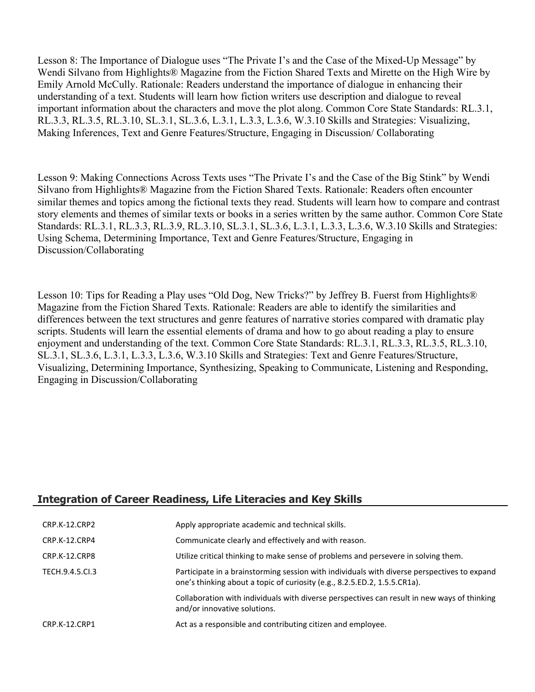Lesson 8: The Importance of Dialogue uses "The Private I's and the Case of the Mixed-Up Message" by Wendi Silvano from Highlights® Magazine from the Fiction Shared Texts and Mirette on the High Wire by Emily Arnold McCully. Rationale: Readers understand the importance of dialogue in enhancing their understanding of a text. Students will learn how fiction writers use description and dialogue to reveal important information about the characters and move the plot along. Common Core State Standards: RL.3.1, RL.3.3, RL.3.5, RL.3.10, SL.3.1, SL.3.6, L.3.1, L.3.3, L.3.6, W.3.10 Skills and Strategies: Visualizing, Making Inferences, Text and Genre Features/Structure, Engaging in Discussion/ Collaborating

Lesson 9: Making Connections Across Texts uses "The Private I's and the Case of the Big Stink" by Wendi Silvano from Highlights® Magazine from the Fiction Shared Texts. Rationale: Readers often encounter similar themes and topics among the fictional texts they read. Students will learn how to compare and contrast story elements and themes of similar texts or books in a series written by the same author. Common Core State Standards: RL.3.1, RL.3.3, RL.3.9, RL.3.10, SL.3.1, SL.3.6, L.3.1, L.3.3, L.3.6, W.3.10 Skills and Strategies: Using Schema, Determining Importance, Text and Genre Features/Structure, Engaging in Discussion/Collaborating

Lesson 10: Tips for Reading a Play uses "Old Dog, New Tricks?" by Jeffrey B. Fuerst from Highlights® Magazine from the Fiction Shared Texts. Rationale: Readers are able to identify the similarities and differences between the text structures and genre features of narrative stories compared with dramatic play scripts. Students will learn the essential elements of drama and how to go about reading a play to ensure enjoyment and understanding of the text. Common Core State Standards: RL.3.1, RL.3.3, RL.3.5, RL.3.10, SL.3.1, SL.3.6, L.3.1, L.3.3, L.3.6, W.3.10 Skills and Strategies: Text and Genre Features/Structure, Visualizing, Determining Importance, Synthesizing, Speaking to Communicate, Listening and Responding, Engaging in Discussion/Collaborating

### **Integration of Career Readiness, Life Literacies and Key Skills**

| CRP.K-12.CRP2  | Apply appropriate academic and technical skills.                                                                                                                         |
|----------------|--------------------------------------------------------------------------------------------------------------------------------------------------------------------------|
| CRP.K-12.CRP4  | Communicate clearly and effectively and with reason.                                                                                                                     |
| CRP.K-12.CRP8  | Utilize critical thinking to make sense of problems and persevere in solving them.                                                                                       |
| TECH.9.4.5.CL3 | Participate in a brainstorming session with individuals with diverse perspectives to expand<br>one's thinking about a topic of curiosity (e.g., 8.2.5.ED.2, 1.5.5.CR1a). |
|                | Collaboration with individuals with diverse perspectives can result in new ways of thinking<br>and/or innovative solutions.                                              |
| CRP.K-12.CRP1  | Act as a responsible and contributing citizen and employee.                                                                                                              |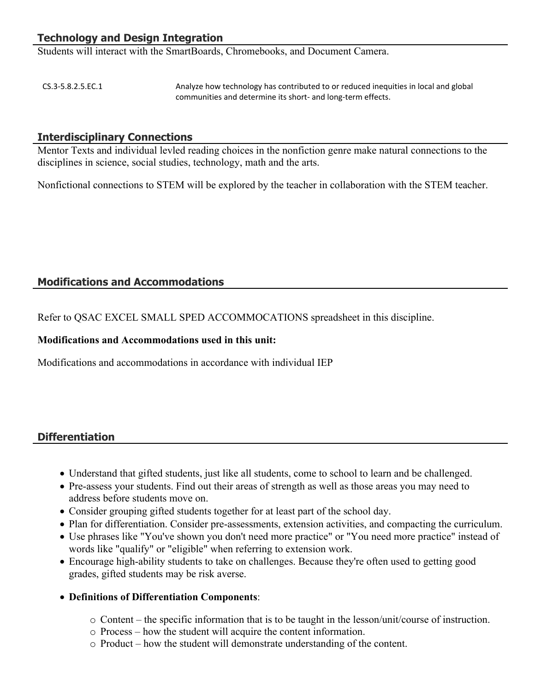# **Technology and Design Integration**

Students will interact with the SmartBoards, Chromebooks, and Document Camera.

CS.3-5.8.2.5.EC.1 Analyze how technology has contributed to or reduced inequities in local and global communities and determine its short- and long-term effects.

#### **Interdisciplinary Connections**

Mentor Texts and individual levled reading choices in the nonfiction genre make natural connections to the disciplines in science, social studies, technology, math and the arts.

Nonfictional connections to STEM will be explored by the teacher in collaboration with the STEM teacher.

### **Modifications and Accommodations**

Refer to QSAC EXCEL SMALL SPED ACCOMMOCATIONS spreadsheet in this discipline.

#### **Modifications and Accommodations used in this unit:**

Modifications and accommodations in accordance with individual IEP

### **Differentiation**

- Understand that gifted students, just like all students, come to school to learn and be challenged.
- Pre-assess your students. Find out their areas of strength as well as those areas you may need to address before students move on.
- Consider grouping gifted students together for at least part of the school day.
- Plan for differentiation. Consider pre-assessments, extension activities, and compacting the curriculum.
- Use phrases like "You've shown you don't need more practice" or "You need more practice" instead of words like "qualify" or "eligible" when referring to extension work.
- Encourage high-ability students to take on challenges. Because they're often used to getting good grades, gifted students may be risk averse.
- **Definitions of Differentiation Components**:
	- o Content the specific information that is to be taught in the lesson/unit/course of instruction.
	- o Process how the student will acquire the content information.
	- o Product how the student will demonstrate understanding of the content.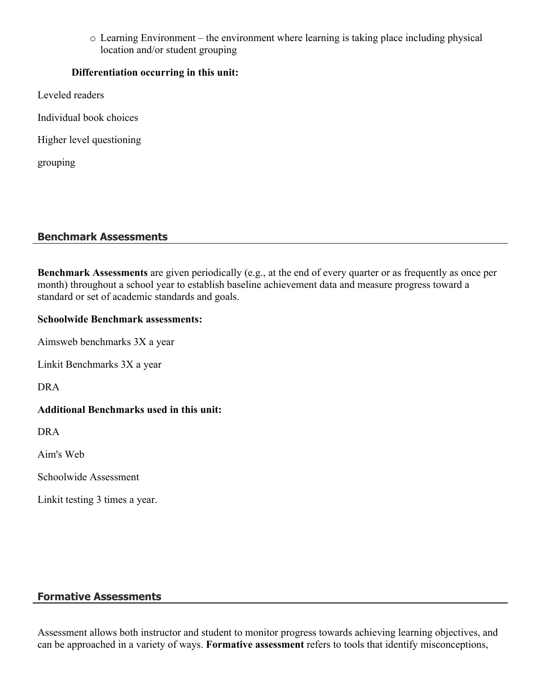o Learning Environment – the environment where learning is taking place including physical location and/or student grouping

### **Differentiation occurring in this unit:**

- Leveled readers
- Individual book choices
- Higher level questioning

grouping

## **Benchmark Assessments**

**Benchmark Assessments** are given periodically (e.g., at the end of every quarter or as frequently as once per month) throughout a school year to establish baseline achievement data and measure progress toward a standard or set of academic standards and goals.

### **Schoolwide Benchmark assessments:**

Aimsweb benchmarks 3X a year

Linkit Benchmarks 3X a year

DRA

# **Additional Benchmarks used in this unit:**

DRA

Aim's Web

Schoolwide Assessment

Linkit testing 3 times a year.

# **Formative Assessments**

Assessment allows both instructor and student to monitor progress towards achieving learning objectives, and can be approached in a variety of ways. **Formative assessment** refers to tools that identify misconceptions,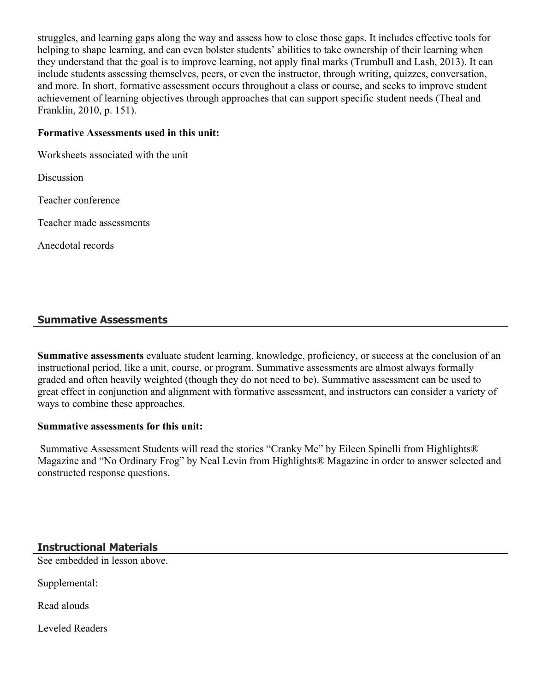struggles, and learning gaps along the way and assess how to close those gaps. It includes effective tools for helping to shape learning, and can even bolster students' abilities to take ownership of their learning when they understand that the goal is to improve learning, not apply final marks (Trumbull and Lash, 2013). It can include students assessing themselves, peers, or even the instructor, through writing, quizzes, conversation, and more. In short, formative assessment occurs throughout a class or course, and seeks to improve student achievement of learning objectives through approaches that can support specific student needs (Theal and Franklin, 2010, p. 151).

#### **Formative Assessments used in this unit:**

Worksheets associated with the unit

**Discussion** 

Teacher conference

Teacher made assessments

Anecdotal records

## **Summative Assessments**

**Summative assessments** evaluate student learning, knowledge, proficiency, or success at the conclusion of an instructional period, like a unit, course, or program. Summative assessments are almost always formally graded and often heavily weighted (though they do not need to be). Summative assessment can be used to great effect in conjunction and alignment with formative assessment, and instructors can consider a variety of ways to combine these approaches.

#### **Summative assessments for this unit:**

 Summative Assessment Students will read the stories "Cranky Me" by Eileen Spinelli from Highlights® Magazine and "No Ordinary Frog" by Neal Levin from Highlights® Magazine in order to answer selected and constructed response questions.

### **Instructional Materials**

See embedded in lesson above.

Supplemental:

Read alouds

Leveled Readers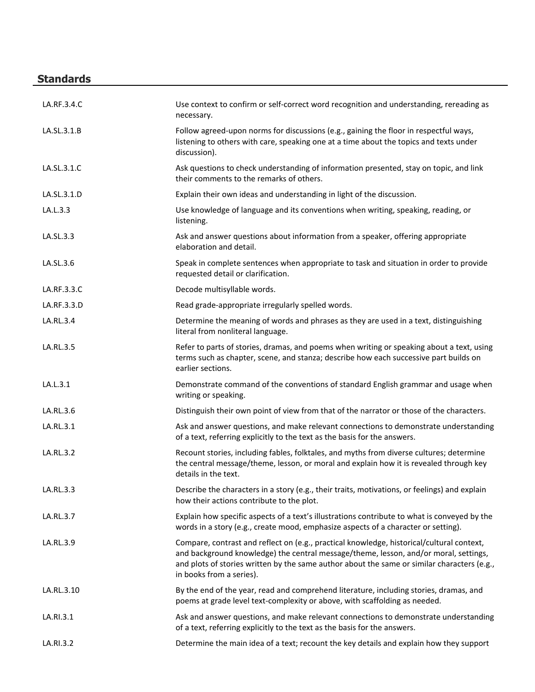# **Standards**

| LA.RF.3.4.C | Use context to confirm or self-correct word recognition and understanding, rereading as<br>necessary.                                                                                                                                                                                                        |
|-------------|--------------------------------------------------------------------------------------------------------------------------------------------------------------------------------------------------------------------------------------------------------------------------------------------------------------|
| LA.SL.3.1.B | Follow agreed-upon norms for discussions (e.g., gaining the floor in respectful ways,<br>listening to others with care, speaking one at a time about the topics and texts under<br>discussion).                                                                                                              |
| LA.SL.3.1.C | Ask questions to check understanding of information presented, stay on topic, and link<br>their comments to the remarks of others.                                                                                                                                                                           |
| LA.SL.3.1.D | Explain their own ideas and understanding in light of the discussion.                                                                                                                                                                                                                                        |
| LA.L.3.3    | Use knowledge of language and its conventions when writing, speaking, reading, or<br>listening.                                                                                                                                                                                                              |
| LA.SL.3.3   | Ask and answer questions about information from a speaker, offering appropriate<br>elaboration and detail.                                                                                                                                                                                                   |
| LA.SL.3.6   | Speak in complete sentences when appropriate to task and situation in order to provide<br>requested detail or clarification.                                                                                                                                                                                 |
| LA.RF.3.3.C | Decode multisyllable words.                                                                                                                                                                                                                                                                                  |
| LA.RF.3.3.D | Read grade-appropriate irregularly spelled words.                                                                                                                                                                                                                                                            |
| LA.RL.3.4   | Determine the meaning of words and phrases as they are used in a text, distinguishing<br>literal from nonliteral language.                                                                                                                                                                                   |
| LA.RL.3.5   | Refer to parts of stories, dramas, and poems when writing or speaking about a text, using<br>terms such as chapter, scene, and stanza; describe how each successive part builds on<br>earlier sections.                                                                                                      |
| LA.L.3.1    | Demonstrate command of the conventions of standard English grammar and usage when<br>writing or speaking.                                                                                                                                                                                                    |
| LA.RL.3.6   | Distinguish their own point of view from that of the narrator or those of the characters.                                                                                                                                                                                                                    |
| LA.RL.3.1   | Ask and answer questions, and make relevant connections to demonstrate understanding<br>of a text, referring explicitly to the text as the basis for the answers.                                                                                                                                            |
| LA.RL.3.2   | Recount stories, including fables, folktales, and myths from diverse cultures; determine<br>the central message/theme, lesson, or moral and explain how it is revealed through key<br>details in the text.                                                                                                   |
| LA.RL.3.3   | Describe the characters in a story (e.g., their traits, motivations, or feelings) and explain<br>how their actions contribute to the plot.                                                                                                                                                                   |
| LA.RL.3.7   | Explain how specific aspects of a text's illustrations contribute to what is conveyed by the<br>words in a story (e.g., create mood, emphasize aspects of a character or setting).                                                                                                                           |
| LA.RL.3.9   | Compare, contrast and reflect on (e.g., practical knowledge, historical/cultural context,<br>and background knowledge) the central message/theme, lesson, and/or moral, settings,<br>and plots of stories written by the same author about the same or similar characters (e.g.,<br>in books from a series). |
| LA.RL.3.10  | By the end of the year, read and comprehend literature, including stories, dramas, and<br>poems at grade level text-complexity or above, with scaffolding as needed.                                                                                                                                         |
| LA.RI.3.1   | Ask and answer questions, and make relevant connections to demonstrate understanding<br>of a text, referring explicitly to the text as the basis for the answers.                                                                                                                                            |
| LA.RI.3.2   | Determine the main idea of a text; recount the key details and explain how they support                                                                                                                                                                                                                      |